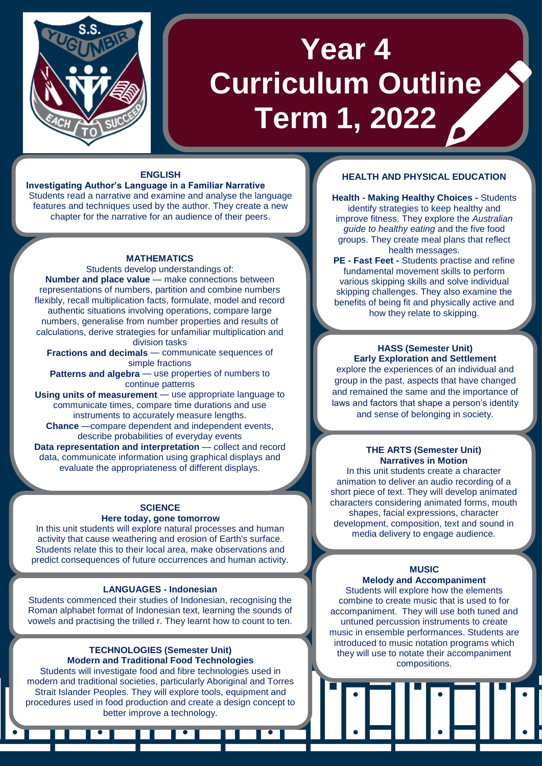

# **Year 4 Curriculum Outline Term 1, 2022**

## **ENGLISH**

**Investigating Author's Language in a Familiar Narrative** Students read a narrative and examine and analyse the language features and techniques used by the author. They create a new chapter for the narrative for an audience of their peers.

#### **MATHEMATICS**

Students develop understandings of: **Number and place value** — make connections between representations of numbers, partition and combine numbers flexibly, recall multiplication facts, formulate, model and record authentic situations involving operations, compare large numbers, generalise from number properties and results of calculations, derive strategies for unfamiliar multiplication and division tasks

**Fractions and decimals** — communicate sequences of simple fractions

**Patterns and algebra** — use properties of numbers to continue patterns

**Using units of measurement** — use appropriate language to communicate times, compare time durations and use instruments to accurately measure lengths. **Chance** —compare dependent and independent events, describe probabilities of everyday events **Data representation and interpretation** — collect and record

data, communicate information using graphical displays and evaluate the appropriateness of different displays.

#### **SCIENCE Here today, gone tomorrow**

In this unit students will explore natural processes and human activity that cause weathering and erosion of Earth's surface. Students relate this to their local area, make observations and predict consequences of future occurrences and human activity.

#### **LANGUAGES - Indonesian**

Students commenced their studies of Indonesian, recognising the Roman alphabet format of Indonesian text, learning the sounds of vowels and practising the trilled r. They learnt how to count to ten.

#### **TECHNOLOGIES (Semester Unit) Modern and Traditional Food Technologies**

Students will investigate food and fibre technologies used in modern and traditional societies, particularly Aboriginal and Torres Strait Islander Peoples. They will explore tools, equipment and procedures used in food production and create a design concept to better improve a technology.

### **HEALTH AND PHYSICAL EDUCATION**

**Health - Making Healthy Choices -** Students identify strategies to keep healthy and improve fitness. They explore the *Australian guide to healthy eating* and the five food groups. They create meal plans that reflect health messages.

**PE - Fast Feet -** Students practise and refine fundamental movement skills to perform various skipping skills and solve individual skipping challenges. They also examine the benefits of being fit and physically active and how they relate to skipping.

# **HASS (Semester Unit) Early Exploration and Settlement**

explore the experiences of an individual and group in the past, aspects that have changed and remained the same and the importance of laws and factors that shape a person's identity and sense of belonging in society.

#### **THE ARTS (Semester Unit) Narratives in Motion**

In this unit students create a character animation to deliver an audio recording of a short piece of text. They will develop animated characters considering animated forms, mouth shapes, facial expressions, character development, composition, text and sound in media delivery to engage audience.

# **MUSIC**

**Melody and Accompaniment**

Students will explore how the elements combine to create music that is used to for accompaniment. They will use both tuned and untuned percussion instruments to create music in ensemble performances. Students are introduced to music notation programs which they will use to notate their accompaniment compositions.